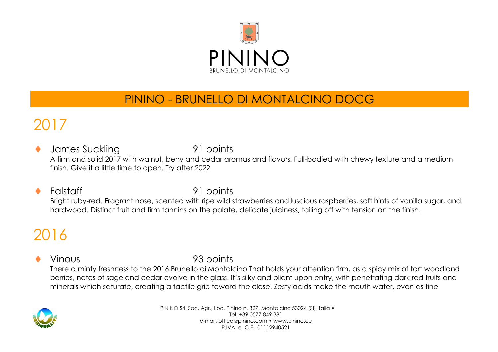

## PININO - BRUNELLO DI MONTALCINO DOCG

## 2017

James Suckling 91 points A firm and solid 2017 with walnut, berry and cedar aromas and flavors. Full-bodied with chewy texture and a medium finish. Give it a little time to open. Try after 2022.

### Falstaff 91 points

Bright ruby-red. Fragrant nose, scented with ripe wild strawberries and luscious raspberries, soft hints of vanilla sugar, and hardwood. Distinct fruit and firm tannins on the palate, delicate juiciness, tailing off with tension on the finish.

# 2016

### Vinous 93 points

There a minty freshness to the 2016 Brunello di Montalcino That holds your attention firm, as a spicy mix of tart woodland berries, notes of sage and cedar evolve in the glass. It's silky and pliant upon entry, with penetrating dark red fruits and minerals which saturate, creating a tactile grip toward the close. Zesty acids make the mouth water, even as fine

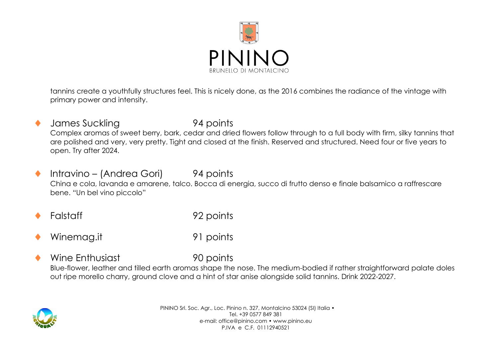

tannins create a youthfully structures feel. This is nicely done, as the 2016 combines the radiance of the vintage with primary power and intensity.

- James Suckling 94 points Complex aromas of sweet berry, bark, cedar and dried flowers follow through to a full body with firm, silky tannins that are polished and very, very pretty. Tight and closed at the finish. Reserved and structured. Need four or five years to open. Try after 2024.
- ◆ Intravino (Andrea Gori) 94 points China e cola, lavanda e amarene, talco. Bocca di energia, succo di frutto denso e finale balsamico a raffrescare bene. "Un bel vino piccolo"
- Falstaff 92 points
- Winemag.it 91 points
	- Wine Enthusiast 90 points

Blue-flower, leather and tilled earth aromas shape the nose. The medium-bodied if rather straightforward palate doles out ripe morello charry, ground clove and a hint of star anise alongside solid tannins. Drink 2022-2027.

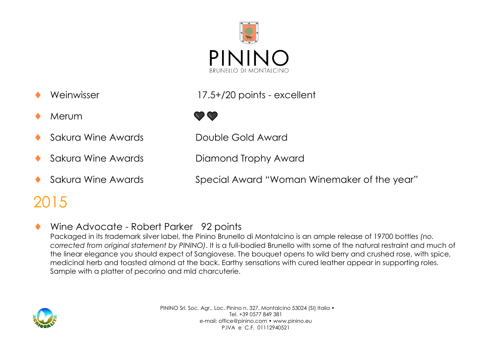

- 
- Merum and the state of the state of the state of the state of the state of the state of the state of the state of the state of the state of the state of the state of the state of the state of the state of the state of the
- Sakura Wine Awards Double Gold Award
- 
- 

## 2015





Sakura Wine Awards **Diamond Trophy Award** 

Sakura Wine Awards Special Award "Woman Winemaker of the year"

### Wine Advocate - Robert Parker 92 points

Packaged in its trademark silver label, the Pinino Brunello di Montalcino is an ample release of 19700 bottles *(no. corrected from original statement by PININO)*. It is a full-bodied Brunello with some of the natural restraint and much of the linear elegance you should expect of Sangiovese. The bouquet opens to wild berry and crushed rose, with spice, medicinal herb and toasted almond at the back. Earthy sensations with cured leather appear in supporting roles. Sample with a platter of pecorino and mld charcuterie.

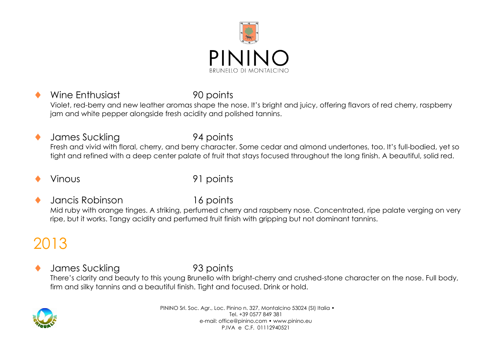

Wine Enthusiast 90 points Violet, red-berry and new leather aromas shape the nose. It's bright and juicy, offering flavors of red cherry, raspberry jam and white pepper alongside fresh acidity and polished tannins.

 James Suckling 94 points Fresh and vivid with floral, cherry, and berry character. Some cedar and almond undertones, too. It's full-bodied, yet so tight and refined with a deep center palate of fruit that stays focused throughout the long finish. A beautiful, solid red.

Vinous 91 points

 Jancis Robinson 16 points Mid ruby with orange tinges. A striking, perfumed cherry and raspberry nose. Concentrated, ripe palate verging on very ripe, but it works. Tangy acidity and perfumed fruit finish with gripping but not dominant tannins.

# 2013

 James Suckling 93 points There's clarity and beauty to this young Brunello with bright-cherry and crushed-stone character on the nose. Full body, firm and silky tannins and a beautiful finish. Tight and focused. Drink or hold.

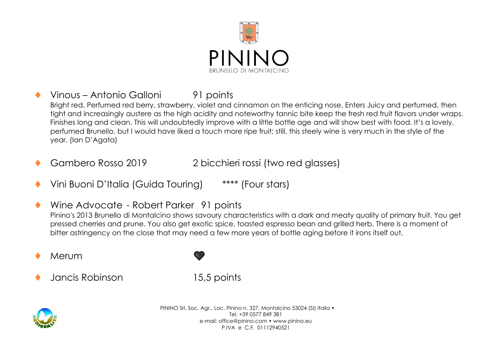

- Vinous Antonio Galloni 91 points Bright red. Perfumed red berry, strawberry, violet and cinnamon on the enticing nose. Enters Juicy and perfumed, then tight and increasingly austere as the high acidity and noteworthy tannic bite keep the fresh red fruit flavors under wraps. Finishes long and clean. This will undoubtedly improve with a little bottle age and will show best with food. It's a lovely, perfumed Brunello, but I would have liked a touch more ripe fruit; still, this steely wine is very much in the style of the year. (Ian D'Agata)
- Gambero Rosso 2019 2 bicchieri rossi (two red glasses)
- Vini Buoni D'Italia (Guida Touring) \*\*\*\* (Four stars)
- Wine Advocate Robert Parker 91 points Pinino's 2013 Brunello di Montalcino shows savoury characteristics with a dark and meaty quality of primary fruit. You get pressed cherries and prune. You also get exotic spice, toasted espresso bean and grilled herb. There is a moment of bitter astringency on the close that may need a few more years of bottle aging before it irons itself out.
- Merum
- Jancis Robinson 15,5 points